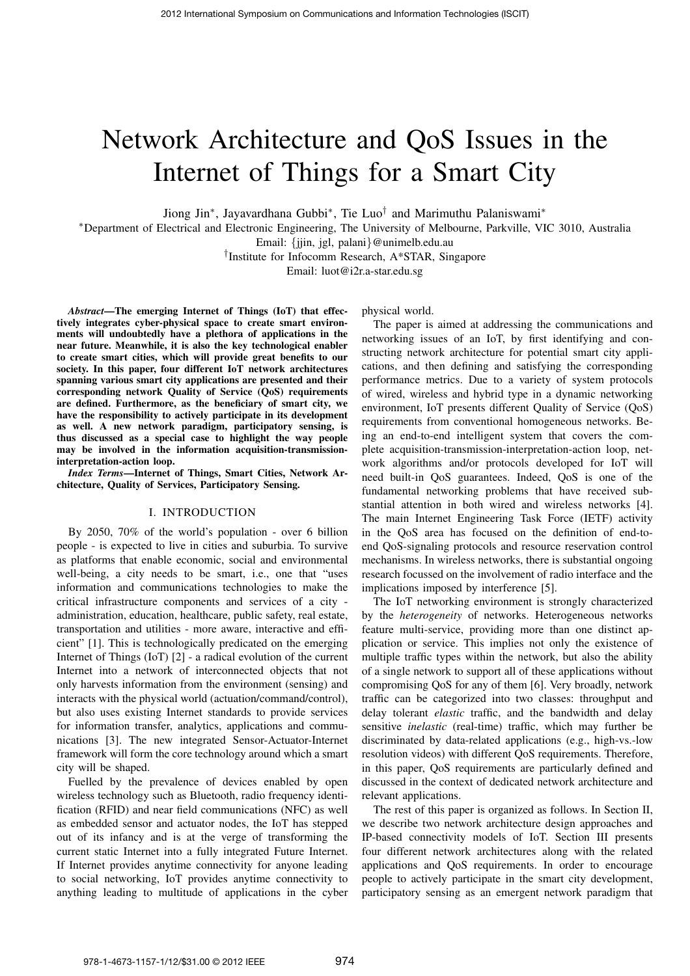# Network Architecture and QoS Issues in the Internet of Things for a Smart City

Jiong Jin∗, Jayavardhana Gubbi∗, Tie Luo† and Marimuthu Palaniswami<sup>∗</sup>

<sup>∗</sup>Department of Electrical and Electronic Engineering, The University of Melbourne, Parkville, VIC 3010, Australia

Email: {jjin, jgl, palani}@unimelb.edu.au

†Institute for Infocomm Research, A\*STAR, Singapore

Email: luot@i2r.a-star.edu.sg

*Abstract*—The emerging Internet of Things (IoT) that effectively integrates cyber-physical space to create smart environments will undoubtedly have a plethora of applications in the near future. Meanwhile, it is also the key technological enabler to create smart cities, which will provide great benefits to our society. In this paper, four different IoT network architectures spanning various smart city applications are presented and their corresponding network Quality of Service (QoS) requirements are defined. Furthermore, as the beneficiary of smart city, we have the responsibility to actively participate in its development as well. A new network paradigm, participatory sensing, is thus discussed as a special case to highlight the way people may be involved in the information acquisition-transmissioninterpretation-action loop.

*Index Terms*—Internet of Things, Smart Cities, Network Architecture, Quality of Services, Participatory Sensing.

#### I. INTRODUCTION

By 2050, 70% of the world's population - over 6 billion people - is expected to live in cities and suburbia. To survive as platforms that enable economic, social and environmental well-being, a city needs to be smart, i.e., one that "uses information and communications technologies to make the critical infrastructure components and services of a city administration, education, healthcare, public safety, real estate, transportation and utilities - more aware, interactive and efficient" [1]. This is technologically predicated on the emerging Internet of Things (IoT) [2] - a radical evolution of the current Internet into a network of interconnected objects that not only harvests information from the environment (sensing) and interacts with the physical world (actuation/command/control), but also uses existing Internet standards to provide services for information transfer, analytics, applications and communications [3]. The new integrated Sensor-Actuator-Internet framework will form the core technology around which a smart city will be shaped.

Fuelled by the prevalence of devices enabled by open wireless technology such as Bluetooth, radio frequency identification (RFID) and near field communications (NFC) as well as embedded sensor and actuator nodes, the IoT has stepped out of its infancy and is at the verge of transforming the current static Internet into a fully integrated Future Internet. If Internet provides anytime connectivity for anyone leading to social networking, IoT provides anytime connectivity to anything leading to multitude of applications in the cyber

physical world.

The paper is aimed at addressing the communications and networking issues of an IoT, by first identifying and constructing network architecture for potential smart city applications, and then defining and satisfying the corresponding performance metrics. Due to a variety of system protocols of wired, wireless and hybrid type in a dynamic networking environment, IoT presents different Quality of Service (QoS) requirements from conventional homogeneous networks. Being an end-to-end intelligent system that covers the complete acquisition-transmission-interpretation-action loop, network algorithms and/or protocols developed for IoT will need built-in QoS guarantees. Indeed, QoS is one of the fundamental networking problems that have received substantial attention in both wired and wireless networks [4]. The main Internet Engineering Task Force (IETF) activity in the QoS area has focused on the definition of end-toend QoS-signaling protocols and resource reservation control mechanisms. In wireless networks, there is substantial ongoing research focussed on the involvement of radio interface and the implications imposed by interference [5].

The IoT networking environment is strongly characterized by the *heterogeneity* of networks. Heterogeneous networks feature multi-service, providing more than one distinct application or service. This implies not only the existence of multiple traffic types within the network, but also the ability of a single network to support all of these applications without compromising QoS for any of them [6]. Very broadly, network traffic can be categorized into two classes: throughput and delay tolerant *elastic* traffic, and the bandwidth and delay sensitive *inelastic* (real-time) traffic, which may further be discriminated by data-related applications (e.g., high-vs.-low resolution videos) with different QoS requirements. Therefore, in this paper, QoS requirements are particularly defined and discussed in the context of dedicated network architecture and relevant applications.

The rest of this paper is organized as follows. In Section II, we describe two network architecture design approaches and IP-based connectivity models of IoT. Section III presents four different network architectures along with the related applications and QoS requirements. In order to encourage people to actively participate in the smart city development, participatory sensing as an emergent network paradigm that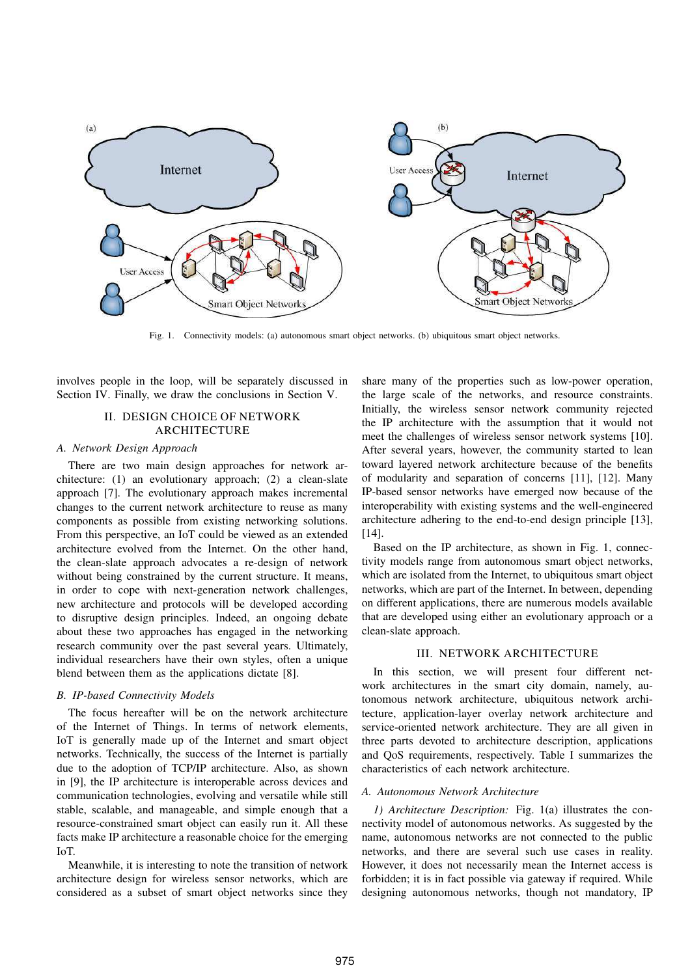

Fig. 1. Connectivity models: (a) autonomous smart object networks. (b) ubiquitous smart object networks.

involves people in the loop, will be separately discussed in Section IV. Finally, we draw the conclusions in Section V.

# II. DESIGN CHOICE OF NETWORK ARCHITECTURE

## *A. Network Design Approach*

There are two main design approaches for network architecture: (1) an evolutionary approach; (2) a clean-slate approach [7]. The evolutionary approach makes incremental changes to the current network architecture to reuse as many components as possible from existing networking solutions. From this perspective, an IoT could be viewed as an extended architecture evolved from the Internet. On the other hand, the clean-slate approach advocates a re-design of network without being constrained by the current structure. It means, in order to cope with next-generation network challenges, new architecture and protocols will be developed according to disruptive design principles. Indeed, an ongoing debate about these two approaches has engaged in the networking research community over the past several years. Ultimately, individual researchers have their own styles, often a unique blend between them as the applications dictate [8].

#### *B. IP-based Connectivity Models*

The focus hereafter will be on the network architecture of the Internet of Things. In terms of network elements, IoT is generally made up of the Internet and smart object networks. Technically, the success of the Internet is partially due to the adoption of TCP/IP architecture. Also, as shown in [9], the IP architecture is interoperable across devices and communication technologies, evolving and versatile while still stable, scalable, and manageable, and simple enough that a resource-constrained smart object can easily run it. All these facts make IP architecture a reasonable choice for the emerging IoT.

Meanwhile, it is interesting to note the transition of network architecture design for wireless sensor networks, which are considered as a subset of smart object networks since they

share many of the properties such as low-power operation, the large scale of the networks, and resource constraints. Initially, the wireless sensor network community rejected the IP architecture with the assumption that it would not meet the challenges of wireless sensor network systems [10]. After several years, however, the community started to lean toward layered network architecture because of the benefits of modularity and separation of concerns [11], [12]. Many IP-based sensor networks have emerged now because of the interoperability with existing systems and the well-engineered architecture adhering to the end-to-end design principle [13], [14].

Based on the IP architecture, as shown in Fig. 1, connectivity models range from autonomous smart object networks, which are isolated from the Internet, to ubiquitous smart object networks, which are part of the Internet. In between, depending on different applications, there are numerous models available that are developed using either an evolutionary approach or a clean-slate approach.

## III. NETWORK ARCHITECTURE

In this section, we will present four different network architectures in the smart city domain, namely, autonomous network architecture, ubiquitous network architecture, application-layer overlay network architecture and service-oriented network architecture. They are all given in three parts devoted to architecture description, applications and QoS requirements, respectively. Table I summarizes the characteristics of each network architecture.

## *A. Autonomous Network Architecture*

*1) Architecture Description:* Fig. 1(a) illustrates the connectivity model of autonomous networks. As suggested by the name, autonomous networks are not connected to the public networks, and there are several such use cases in reality. However, it does not necessarily mean the Internet access is forbidden; it is in fact possible via gateway if required. While designing autonomous networks, though not mandatory, IP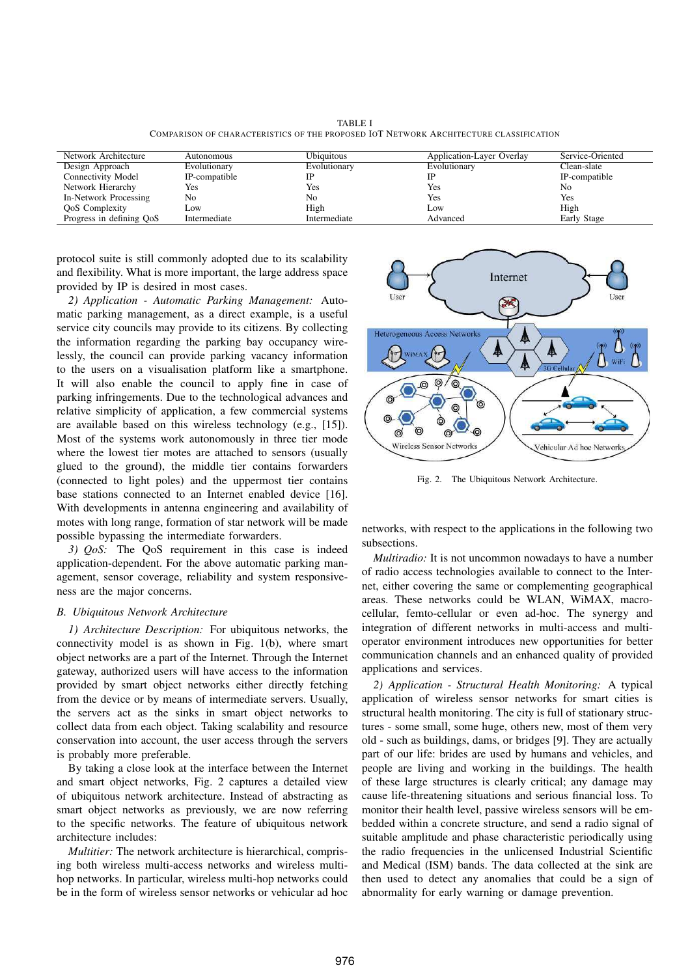TABLE I COMPARISON OF CHARACTERISTICS OF THE PROPOSED IOT NETWORK ARCHITECTURE CLASSIFICATION

| Network Architecture      | Autonomous    | <b>Ubiquitous</b> | Application-Layer Overlay | Service-Oriented |
|---------------------------|---------------|-------------------|---------------------------|------------------|
| Design Approach           | Evolutionary  | Evolutionary      | Evolutionary              | Clean-slate      |
| <b>Connectivity Model</b> | IP-compatible |                   |                           | IP-compatible    |
| Network Hierarchy         | Yes           | Yes               | Yes                       | No               |
| In-Network Processing     | No            | No                | Yes                       | Yes              |
| <b>OoS</b> Complexity     | Low           | High              | Low                       | High             |
| Progress in defining OoS  | Intermediate  | Intermediate      | Advanced                  | Early Stage      |

protocol suite is still commonly adopted due to its scalability and flexibility. What is more important, the large address space provided by IP is desired in most cases.

*2) Application - Automatic Parking Management:* Automatic parking management, as a direct example, is a useful service city councils may provide to its citizens. By collecting the information regarding the parking bay occupancy wirelessly, the council can provide parking vacancy information to the users on a visualisation platform like a smartphone. It will also enable the council to apply fine in case of parking infringements. Due to the technological advances and relative simplicity of application, a few commercial systems are available based on this wireless technology (e.g., [15]). Most of the systems work autonomously in three tier mode where the lowest tier motes are attached to sensors (usually glued to the ground), the middle tier contains forwarders (connected to light poles) and the uppermost tier contains base stations connected to an Internet enabled device [16]. With developments in antenna engineering and availability of motes with long range, formation of star network will be made possible bypassing the intermediate forwarders.

*3) QoS:* The QoS requirement in this case is indeed application-dependent. For the above automatic parking management, sensor coverage, reliability and system responsiveness are the major concerns.

#### *B. Ubiquitous Network Architecture*

*1) Architecture Description:* For ubiquitous networks, the connectivity model is as shown in Fig. 1(b), where smart object networks are a part of the Internet. Through the Internet gateway, authorized users will have access to the information provided by smart object networks either directly fetching from the device or by means of intermediate servers. Usually, the servers act as the sinks in smart object networks to collect data from each object. Taking scalability and resource conservation into account, the user access through the servers is probably more preferable.

By taking a close look at the interface between the Internet and smart object networks, Fig. 2 captures a detailed view of ubiquitous network architecture. Instead of abstracting as smart object networks as previously, we are now referring to the specific networks. The feature of ubiquitous network architecture includes:

*Multitier:* The network architecture is hierarchical, comprising both wireless multi-access networks and wireless multihop networks. In particular, wireless multi-hop networks could be in the form of wireless sensor networks or vehicular ad hoc



Fig. 2. The Ubiquitous Network Architecture.

networks, with respect to the applications in the following two subsections.

*Multiradio:* It is not uncommon nowadays to have a number of radio access technologies available to connect to the Internet, either covering the same or complementing geographical areas. These networks could be WLAN, WiMAX, macrocellular, femto-cellular or even ad-hoc. The synergy and integration of different networks in multi-access and multioperator environment introduces new opportunities for better communication channels and an enhanced quality of provided applications and services.

*2) Application - Structural Health Monitoring:* A typical application of wireless sensor networks for smart cities is structural health monitoring. The city is full of stationary structures - some small, some huge, others new, most of them very old - such as buildings, dams, or bridges [9]. They are actually part of our life: brides are used by humans and vehicles, and people are living and working in the buildings. The health of these large structures is clearly critical; any damage may cause life-threatening situations and serious financial loss. To monitor their health level, passive wireless sensors will be embedded within a concrete structure, and send a radio signal of suitable amplitude and phase characteristic periodically using the radio frequencies in the unlicensed Industrial Scientific and Medical (ISM) bands. The data collected at the sink are then used to detect any anomalies that could be a sign of abnormality for early warning or damage prevention.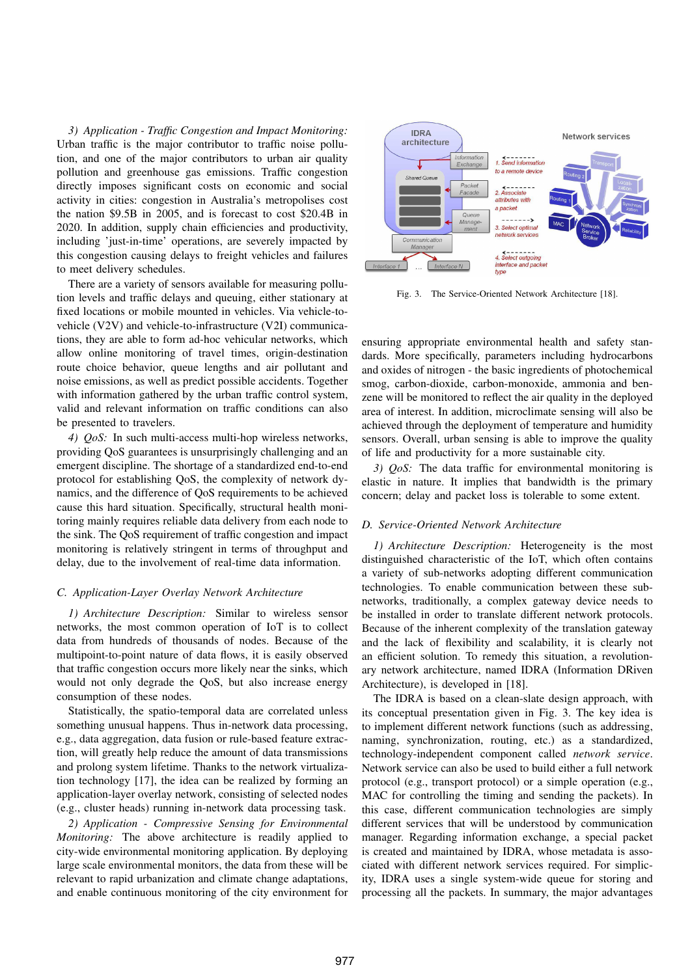*3) Application - Traffic Congestion and Impact Monitoring:* Urban traffic is the major contributor to traffic noise pollution, and one of the major contributors to urban air quality pollution and greenhouse gas emissions. Traffic congestion directly imposes significant costs on economic and social activity in cities: congestion in Australia's metropolises cost the nation \$9.5B in 2005, and is forecast to cost \$20.4B in 2020. In addition, supply chain efficiencies and productivity, including 'just-in-time' operations, are severely impacted by this congestion causing delays to freight vehicles and failures to meet delivery schedules.

There are a variety of sensors available for measuring pollution levels and traffic delays and queuing, either stationary at fixed locations or mobile mounted in vehicles. Via vehicle-tovehicle (V2V) and vehicle-to-infrastructure (V2I) communications, they are able to form ad-hoc vehicular networks, which allow online monitoring of travel times, origin-destination route choice behavior, queue lengths and air pollutant and noise emissions, as well as predict possible accidents. Together with information gathered by the urban traffic control system, valid and relevant information on traffic conditions can also be presented to travelers.

*4) QoS:* In such multi-access multi-hop wireless networks, providing QoS guarantees is unsurprisingly challenging and an emergent discipline. The shortage of a standardized end-to-end protocol for establishing QoS, the complexity of network dynamics, and the difference of QoS requirements to be achieved cause this hard situation. Specifically, structural health monitoring mainly requires reliable data delivery from each node to the sink. The QoS requirement of traffic congestion and impact monitoring is relatively stringent in terms of throughput and delay, due to the involvement of real-time data information.

### *C. Application-Layer Overlay Network Architecture*

*1) Architecture Description:* Similar to wireless sensor networks, the most common operation of IoT is to collect data from hundreds of thousands of nodes. Because of the multipoint-to-point nature of data flows, it is easily observed that traffic congestion occurs more likely near the sinks, which would not only degrade the QoS, but also increase energy consumption of these nodes.

Statistically, the spatio-temporal data are correlated unless something unusual happens. Thus in-network data processing, e.g., data aggregation, data fusion or rule-based feature extraction, will greatly help reduce the amount of data transmissions and prolong system lifetime. Thanks to the network virtualization technology [17], the idea can be realized by forming an application-layer overlay network, consisting of selected nodes (e.g., cluster heads) running in-network data processing task.

*2) Application - Compressive Sensing for Environmental Monitoring:* The above architecture is readily applied to city-wide environmental monitoring application. By deploying large scale environmental monitors, the data from these will be relevant to rapid urbanization and climate change adaptations, and enable continuous monitoring of the city environment for



Fig. 3. The Service-Oriented Network Architecture [18].

ensuring appropriate environmental health and safety standards. More specifically, parameters including hydrocarbons and oxides of nitrogen - the basic ingredients of photochemical smog, carbon-dioxide, carbon-monoxide, ammonia and benzene will be monitored to reflect the air quality in the deployed area of interest. In addition, microclimate sensing will also be achieved through the deployment of temperature and humidity sensors. Overall, urban sensing is able to improve the quality of life and productivity for a more sustainable city.

*3) QoS:* The data traffic for environmental monitoring is elastic in nature. It implies that bandwidth is the primary concern; delay and packet loss is tolerable to some extent.

### *D. Service-Oriented Network Architecture*

*1) Architecture Description:* Heterogeneity is the most distinguished characteristic of the IoT, which often contains a variety of sub-networks adopting different communication technologies. To enable communication between these subnetworks, traditionally, a complex gateway device needs to be installed in order to translate different network protocols. Because of the inherent complexity of the translation gateway and the lack of flexibility and scalability, it is clearly not an efficient solution. To remedy this situation, a revolutionary network architecture, named IDRA (Information DRiven Architecture), is developed in [18].

The IDRA is based on a clean-slate design approach, with its conceptual presentation given in Fig. 3. The key idea is to implement different network functions (such as addressing, naming, synchronization, routing, etc.) as a standardized, technology-independent component called *network service*. Network service can also be used to build either a full network protocol (e.g., transport protocol) or a simple operation (e.g., MAC for controlling the timing and sending the packets). In this case, different communication technologies are simply different services that will be understood by communication manager. Regarding information exchange, a special packet is created and maintained by IDRA, whose metadata is associated with different network services required. For simplicity, IDRA uses a single system-wide queue for storing and processing all the packets. In summary, the major advantages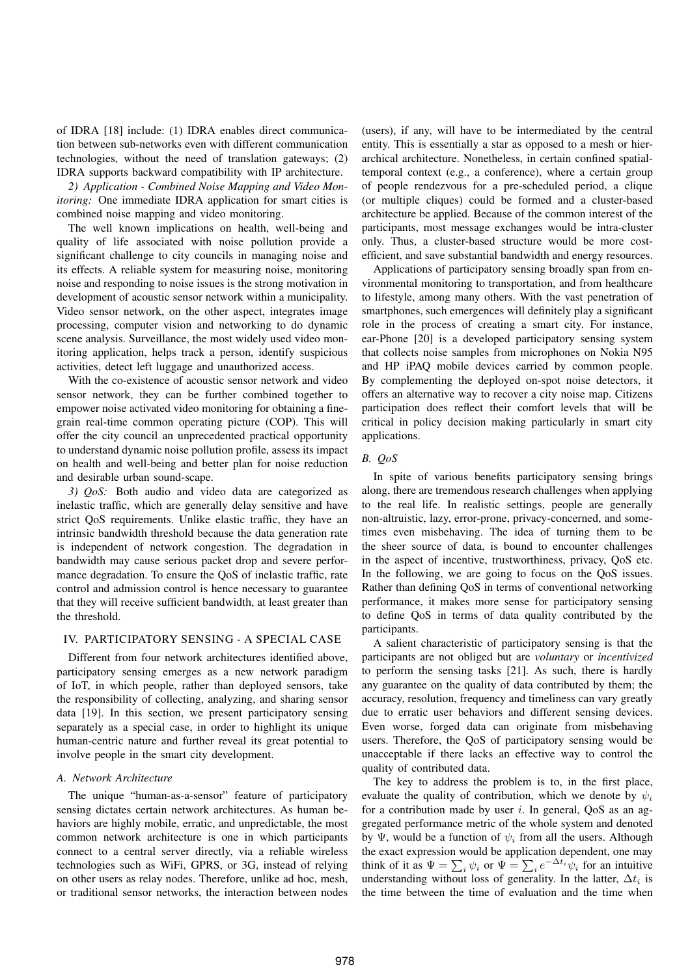of IDRA [18] include: (1) IDRA enables direct communication between sub-networks even with different communication technologies, without the need of translation gateways; (2) IDRA supports backward compatibility with IP architecture.

*2) Application - Combined Noise Mapping and Video Monitoring:* One immediate IDRA application for smart cities is combined noise mapping and video monitoring.

The well known implications on health, well-being and quality of life associated with noise pollution provide a significant challenge to city councils in managing noise and its effects. A reliable system for measuring noise, monitoring noise and responding to noise issues is the strong motivation in development of acoustic sensor network within a municipality. Video sensor network, on the other aspect, integrates image processing, computer vision and networking to do dynamic scene analysis. Surveillance, the most widely used video monitoring application, helps track a person, identify suspicious activities, detect left luggage and unauthorized access.

With the co-existence of acoustic sensor network and video sensor network, they can be further combined together to empower noise activated video monitoring for obtaining a finegrain real-time common operating picture (COP). This will offer the city council an unprecedented practical opportunity to understand dynamic noise pollution profile, assess its impact on health and well-being and better plan for noise reduction and desirable urban sound-scape.

*3) QoS:* Both audio and video data are categorized as inelastic traffic, which are generally delay sensitive and have strict QoS requirements. Unlike elastic traffic, they have an intrinsic bandwidth threshold because the data generation rate is independent of network congestion. The degradation in bandwidth may cause serious packet drop and severe performance degradation. To ensure the QoS of inelastic traffic, rate control and admission control is hence necessary to guarantee that they will receive sufficient bandwidth, at least greater than the threshold.

# IV. PARTICIPATORY SENSING - A SPECIAL CASE

Different from four network architectures identified above, participatory sensing emerges as a new network paradigm of IoT, in which people, rather than deployed sensors, take the responsibility of collecting, analyzing, and sharing sensor data [19]. In this section, we present participatory sensing separately as a special case, in order to highlight its unique human-centric nature and further reveal its great potential to involve people in the smart city development.

#### *A. Network Architecture*

The unique "human-as-a-sensor" feature of participatory sensing dictates certain network architectures. As human behaviors are highly mobile, erratic, and unpredictable, the most common network architecture is one in which participants connect to a central server directly, via a reliable wireless technologies such as WiFi, GPRS, or 3G, instead of relying on other users as relay nodes. Therefore, unlike ad hoc, mesh, or traditional sensor networks, the interaction between nodes (users), if any, will have to be intermediated by the central entity. This is essentially a star as opposed to a mesh or hierarchical architecture. Nonetheless, in certain confined spatialtemporal context (e.g., a conference), where a certain group of people rendezvous for a pre-scheduled period, a clique (or multiple cliques) could be formed and a cluster-based architecture be applied. Because of the common interest of the participants, most message exchanges would be intra-cluster only. Thus, a cluster-based structure would be more costefficient, and save substantial bandwidth and energy resources.

Applications of participatory sensing broadly span from environmental monitoring to transportation, and from healthcare to lifestyle, among many others. With the vast penetration of smartphones, such emergences will definitely play a significant role in the process of creating a smart city. For instance, ear-Phone [20] is a developed participatory sensing system that collects noise samples from microphones on Nokia N95 and HP iPAQ mobile devices carried by common people. By complementing the deployed on-spot noise detectors, it offers an alternative way to recover a city noise map. Citizens participation does reflect their comfort levels that will be critical in policy decision making particularly in smart city applications.

# *B. QoS*

In spite of various benefits participatory sensing brings along, there are tremendous research challenges when applying to the real life. In realistic settings, people are generally non-altruistic, lazy, error-prone, privacy-concerned, and sometimes even misbehaving. The idea of turning them to be the sheer source of data, is bound to encounter challenges in the aspect of incentive, trustworthiness, privacy, QoS etc. In the following, we are going to focus on the QoS issues. Rather than defining QoS in terms of conventional networking performance, it makes more sense for participatory sensing to define QoS in terms of data quality contributed by the participants.

A salient characteristic of participatory sensing is that the participants are not obliged but are *voluntary* or *incentivized* to perform the sensing tasks [21]. As such, there is hardly any guarantee on the quality of data contributed by them; the accuracy, resolution, frequency and timeliness can vary greatly due to erratic user behaviors and different sensing devices. Even worse, forged data can originate from misbehaving users. Therefore, the QoS of participatory sensing would be unacceptable if there lacks an effective way to control the quality of contributed data.

The key to address the problem is to, in the first place, evaluate the quality of contribution, which we denote by  $\psi_i$ for a contribution made by user i. In general,  $\cos$  as an aggregated performance metric of the whole system and denoted by Ψ, would be a function of  $\psi_i$  from all the users. Although the exact expression would be application dependent, one may think of it as  $\Psi = \sum_i \psi_i$  or  $\Psi = \sum_i e^{-\Delta t_i} \psi_i$  for an intuitive understanding without loss of generality. In the latter,  $\Delta t_i$  is the time between the time of evaluation and the time when